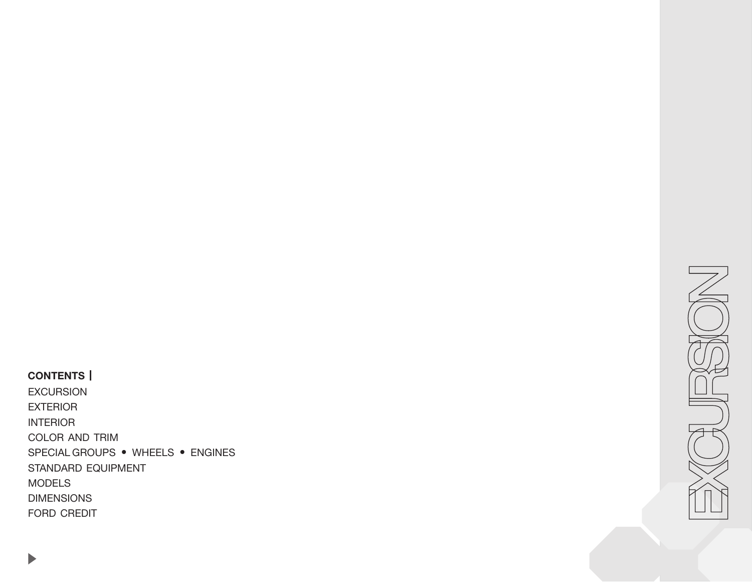# <span id="page-0-0"></span>**CONTENTS |**

[EXCURSION](#page-1-0) [EXTERIOR](#page-2-0) [INTERIOR](#page-4-0) [COLOR AND TRIM](#page-6-0) [SPECIAL GROUPS](#page-7-0) • WHEELS • ENGINES [STANDARD EQUIPMENT](#page-8-0) [MODELS](#page-9-0) [DIMENSIONS](#page-10-0) [FORD CREDIT](#page-11-0)

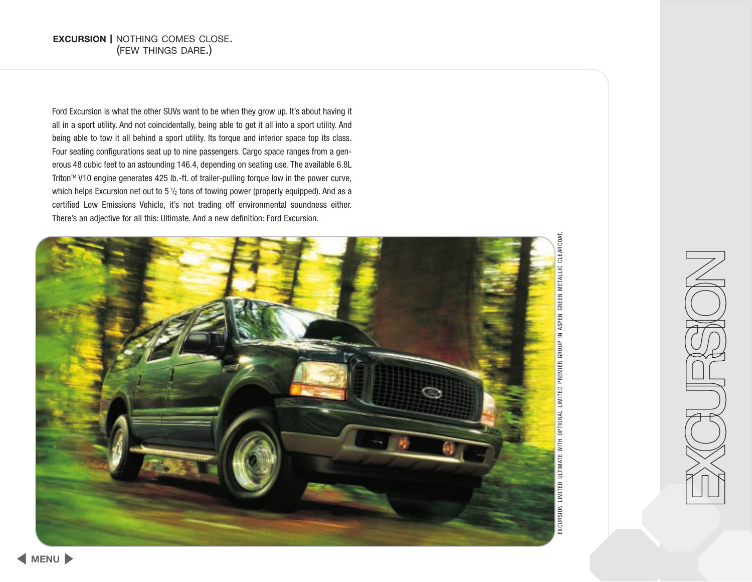<span id="page-1-0"></span>Ford Excursion is what the other SUVs want to be when they grow up. It's about having it all in a sport utility. And not coincidentally, being able to get it all into a sport utility. And being able to tow it all behind a sport utility. Its torque and interior space top its class. Four seating configurations seat up to nine passengers. Cargo space ranges from a generous 48 cubic feet to an astounding 146.4, depending on seating use. The available 6.8L Triton™ V10 engine generates 425 lb.-ft. of trailer-pulling torque low in the power curve, which helps Excursion net out to 5  $\frac{1}{2}$  tons of towing power (properly equipped). And as a certified Low Emissions Vehicle, it's not trading off environmental soundness either. There's an adjective for all this: Ultimate. And a new definition: Ford Excursion.



EXCURSION LIMITED ULTIMATE WITH OPTIONAL LIMITED PREMIER GROUP IN ASPEN GREEN METALLIC CLEARCOAT. CLEARCOAT. EXCURSION LIMITED ULTIMATE WITH OPTIONAL LIMITED PREMIER GROUP IN ASPEN GREEN METALLIC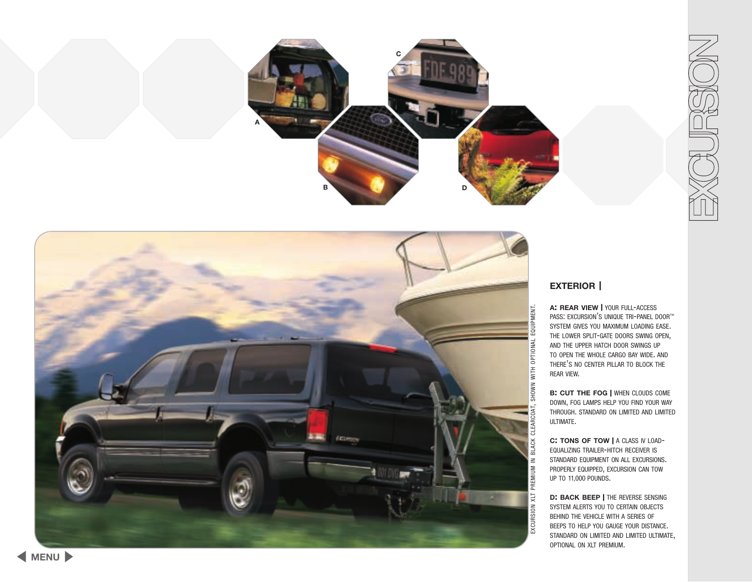<span id="page-2-0"></span>





### **EXTERIOR |**

**A: REAR VIEW |** YOUR FULL -ACCESS PASS: EXCURSION'S UNIQUE TRI-PANEL DOOR™ SYSTEM GIVES YOU MAXIMUM LOADING EASE . THE LOWER SPLIT-GATE DOORS SWING OPEN, AND THE UPPER HATCH DOOR SWINGS UP TO OPEN THE WHOLE CARGO BAY WIDE . AND THERE 'S NO CENTER PILLAR TO BLOCK THE REAR VIEW .

**B: CUT THE FOG |** WHEN CLOUDS COME DOWN , FOG LAMPS HELP YOU FIND YOUR WAY THROUGH . STANDARD ON LIMITED AND LIMITED ULTIMATE .

**C: TONS OF TOW |** A CLASS IV LOAD - EQUALIZING TRAILER -HITCH RECEIVER IS STANDARD EQUIPMENT ON ALL EXCURSIONS . PROPERLY EQUIPPED , EXCURSION CAN TOW UP TO 11,000 POUNDS .

**D: BACK BEEP |** THE REVERSE SENSING SYSTEM ALERTS YOU TO CERTAIN OBJECTS BEHIND THE VEHICLE WITH A SERIES OF BEEPS TO HELP YOU GAUGE YOUR DISTANCE . STANDARD ON LIMITED AND LIMITED ULTIMATE, OPTIONAL ON XLT PREMIUM .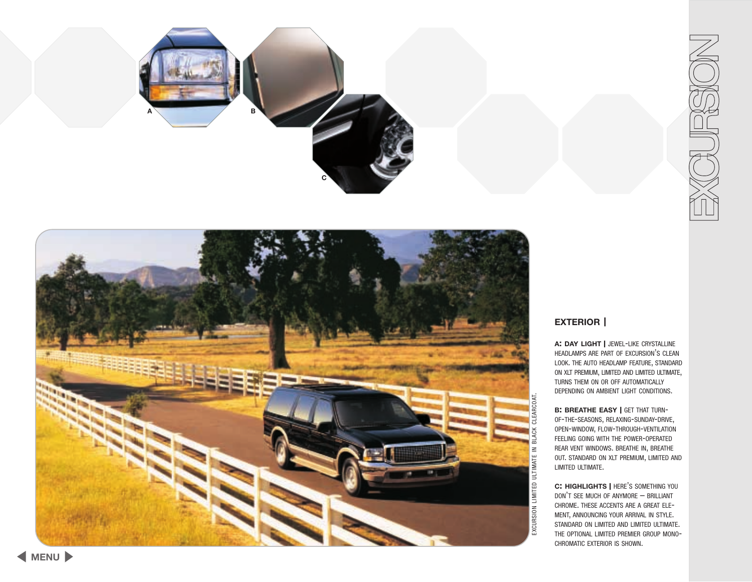



**EXTERIOR |**

**A: DAY LIGHT |** JEWEL -LIKE CRYSTALLINE HEADLAMPS ARE PART OF EXCURSION 'S CLEAN LOOK . THE AUTO HEADLAMP FEATURE , STANDARD ON XLT PREMIUM, LIMITED AND LIMITED ULTIMATE, TURNS THEM ON OR OFF AUTOMATICALLY DEPENDING ON AMBIENT LIGHT CONDITIONS .

**B: BREATHE EASY | GET THAT TURN-**OF-THE-SEASONS, RELAXING-SUNDAY-DRIVE, OPEN-WINDOW, FLOW-THROUGH-VENTILATION FEELING GOING WITH THE POWER-OPERATED REAR VENT WINDOWS . BREATHE IN , BREATHE OUT . STANDARD ON XLT PREMIUM , LIMITED AND LIMITED ULTIMATE .

**C: HIGHLIGHTS |** HERE 'S SOMETHING YOU DON 'T SEE MUCH OF ANYMORE – BRILLIANT CHROME . THESE ACCENTS ARE A GREAT ELE - MENT , ANNOUNCING YOUR ARRIVAL IN STYLE . STANDARD ON LIMITED AND LIMITED ULTIMATE. THE OPTIONAL LIMITED PREMIER GROUP MONO-CHROMATIC EXTERIOR IS SHOWN .

**[MENU](#page-0-0)**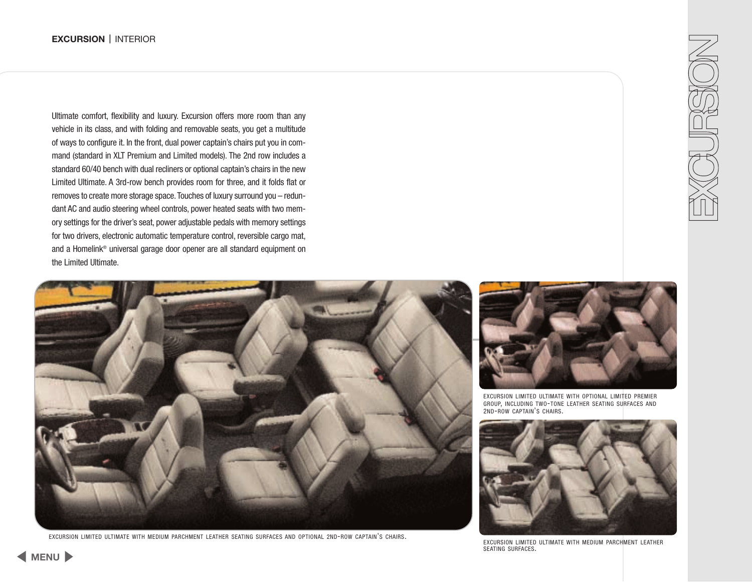<span id="page-4-0"></span>Ultimate comfort, flexibility and luxury. Excursion offers more room than any vehicle in its class, and with folding and removable seats, you get a multitude of ways to configure it. In the front, dual power captain's chairs put you in command (standard in XLT Premium and Limited models). The 2nd row includes a standard 60/40 bench with dual recliners or optional captain's chairs in the new Limited Ultimate. A 3rd-row bench provides room for three, and it folds flat or removes to create more storage space.Touches of luxury surround you – redundant AC and audio steering wheel controls, power heated seats with two memory settings for the driver's seat, power adjustable pedals with memory settings for two drivers, electronic automatic temperature control, reversible cargo mat, and a Homelink® universal garage door opener are all standard equipment on the Limited Ultimate.



EXCURSION LIMITED ULTIMATE WITH MEDIUM PARCHMENT LEATHER SEATING SURFACES AND OPTIONAL 2ND-ROW CAPTAIN'S CHAIRS.



EXCURSION LIMITED ULTIMATE WITH OPTIONAL LIMITED PREMIER GROUP, INCLUDING TWO-TONE LEATHER SEATING SURFACES AND 2ND-ROW CAPTAIN'S CHAIRS.



EXCURSION LIMITED ULTIMATE WITH MEDIUM PARCHMENT LEATHER SEATING SURFACES.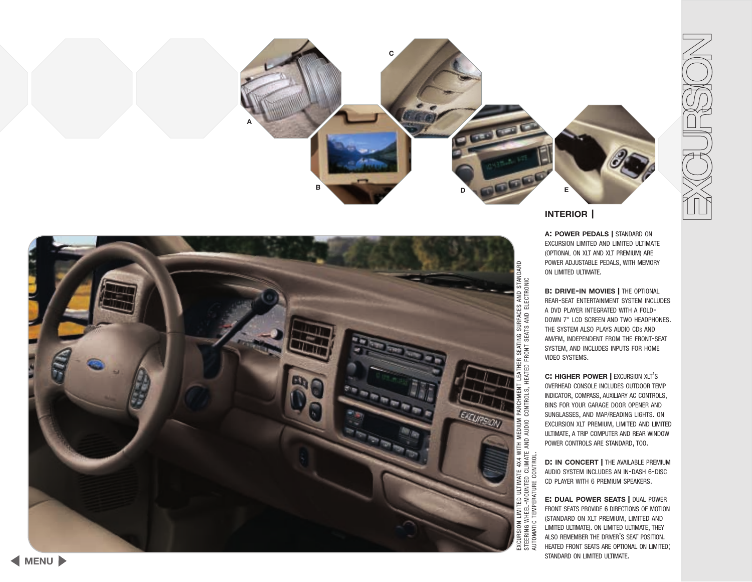



### **INTERIOR |**

**A: POWER PEDALS |** STANDARD ON EXCURSION LIMITED AND LIMITED ULTIMATE (OPTIONAL ON XLT AND XLT PREMIUM) ARE POWER ADJUSTABLE PEDALS , WITH MEMORY ON LIMITED ULTIMATE .

**B: DRIVE -IN MOVIES |** THE OPTIONAL REAR -SEAT ENTERTAINMENT SYSTEM INCLUDES A DVD PLAYER INTEGRATED WITH A FOLD - DOWN 7" LCD SCREEN AND TWO HEADPHONES . THE SYSTEM ALSO PLAYS AUDIO CD S AND AM /FM , INDEPENDENT FROM THE FRONT -SEAT SYSTEM , AND INCLUDES INPUTS FOR HOME VIDEO SYSTEMS .

**C: HIGHER POWER |** EXCURSION XLT ' S OVERHEAD CONSOLE INCLUDES OUTDOOR TEMP INDICATOR , COMPASS , AUXILIARY AC CONTROLS , BINS FOR YOUR GARAGE DOOR OPENER AND SUNGLASSES , AND MAP /READING LIGHTS . ON EXCURSION XLT PREMIUM , LIMITED AND LIMITED ULTIMATE , A TRIP COMPUTER AND REAR WINDOW POWER CONTROLS ARE STANDARD, TOO.

**D: IN CONCERT |** THE AVAILABLE PREMIUM AUDIO SYSTEM INCLUDES AN IN -DASH 6 -DISC CD PLAYER WITH 6 PREMIUM SPEAKERS .

**E: DUAL POWER SEATS |** DUAL POWER FRONT SEATS PROVIDE 6 DIRECTIONS OF MOTION (STANDARD ON XLT PREMIUM, LIMITED AND LIMITED ULTIMATE) . ON LIMITED ULTIMATE , THEY ALSO REMEMBER THE DRIVER 'S SEAT POSITION . HEATED FRONT SEATS ARE OPTIONAL ON LIMITED ; STANDARD ON LIMITED ULTIMATE .

AUTOMATIC TEMPERATURE CONTROL.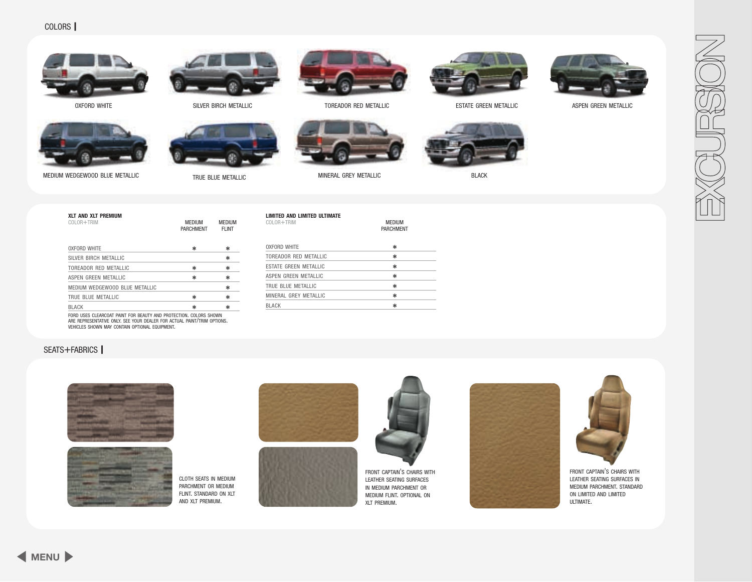<span id="page-6-0"></span>



**XLT AND XLT PREMIUM**

OXFORD WHITE SILVER BIRCH METALLIC TOREADOR RED METALLIC ESTATE GREEN METALLIC











ASPEN GREEN METALLIC



| COLOR+TRIM                                          | <b>MEDIUM</b><br><b>PARCHMENT</b> | <b>MEDIUM</b><br><b>FLINT</b> |
|-----------------------------------------------------|-----------------------------------|-------------------------------|
| <b>OXFORD WHITE</b>                                 | ∗                                 | *                             |
| SILVER BIRCH METALLIC                               |                                   | *                             |
| TOREADOR RED METALLIC                               | ∗                                 | *                             |
| ASPEN GREEN METALLIC                                | ∗                                 | *                             |
| MEDIUM WEDGEWOOD BLUE METALLIC                      |                                   | *                             |
| TRUE BLUE METALLIC                                  | ∗                                 | *                             |
| <b>BLACK</b>                                        | ∗                                 | ∗                             |
| CODD UCCO OLCADOOAT DAINT COD DEAUTY AND DDOTCOTION | <b>OOL ODD OUOUINI</b>            |                               |

FORD USES CLEARCOAT PAINT FOR BEAUTY AND PROTECTION. COLORS SHOWN<br>ARE REPRESENTATIVE ONLY. SEE YOUR DEALER FOR ACTUAL PAINT/TRIM OPTIONS.<br>VEHICLES SHOWN MAY CONTAIN OPTIONAL EQUIPMENT.

### SEATS+FABRICS **|**





CLOTH SEATS IN MEDIUM PARCHMENT OR MEDIUM FLINT. STANDARD ON XLT AND XLT PREMIUM.



**LIMITED AND LIMITED ULTIMATE**

COLOR+TRIM MEDIUM

OXFORD WHITE  $\qquad \qquad \star$ TOREADOR RED METALLIC  $\rightarrow$ ESTATE GREEN METALLIC  $\rightarrow$ ASPEN GREEN METALLIC  $\star$ TRUE BLUE METALLIC  $\rightarrow$ MINERAL GREY METALLIC  $\ast$  $\mathsf{BLACK}$   $\mathsf{\ast}$ 





PARCHMENT

FRONT CAPTAIN'S CHAIRS WITH LEATHER SEATING SURFACES IN MEDIUM PARCHMENT OR MEDIUM FLINT. OPTIONAL ON XLT PREMIUM.





FRONT CAPTAIN'S CHAIRS WITH LEATHER SEATING SURFACES IN MEDIUM PARCHMENT. STANDARD ON LIMITED AND LIMITED ULTIMATE.

**[MENU](#page-0-0)**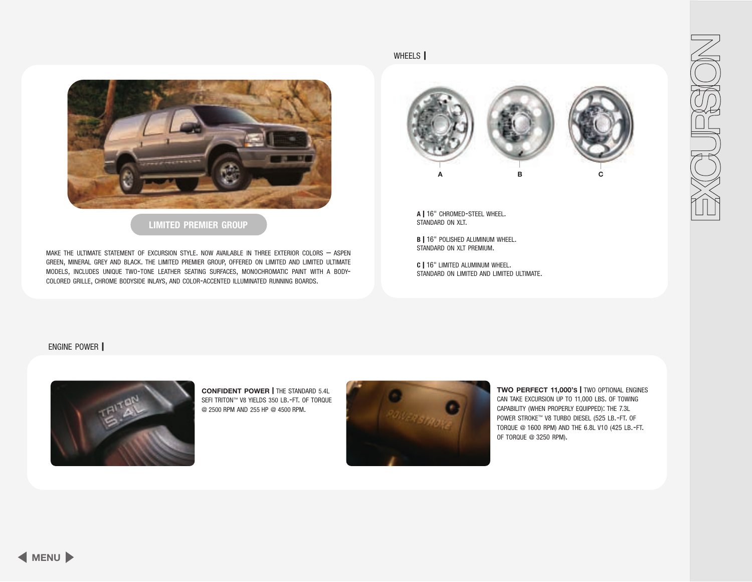<span id="page-7-0"></span>

### **LIMITED PREMIER GROUP**

MAKE THE ULTIMATE STATEMENT OF EXCURSION STYLE. NOW AVAILABLE IN THREE EXTERIOR COLORS – ASPEN GREEN, MINERAL GREY AND BLACK. THE LIMITED PREMIER GROUP, OFFERED ON LIMITED AND LIMITED ULTIMATE MODELS, INCLUDES UNIQUE TWO-TONE LEATHER SEATING SURFACES, MONOCHROMATIC PAINT WITH A BODY-COLORED GRILLE, CHROME BODYSIDE INLAYS, AND COLOR-ACCENTED ILLUMINATED RUNNING BOARDS.



**<sup>A</sup> <sup>|</sup>** 16" CHROMED-STEEL WHEEL. STANDARD ON XLT.

**<sup>B</sup> <sup>|</sup>** 16" POLISHED ALUMINUM WHEEL. STANDARD ON XLT PREMIUM.

**<sup>C</sup> <sup>|</sup>** 16" LIMITED ALUMINUM WHEEL. STANDARD ON LIMITED AND LIMITED ULTIMATE.

ENGINE POWER **|**



**CONFIDENT POWER |** THE STANDARD 5.4L SEFI TRITON™ V8 YIELDS 350 LB.-FT. OF TORQUE @ 2500 RPM AND 255 HP @ 4500 RPM.



WHEELS **|**

**TWO PERFECT 11,000'S |** TWO OPTIONAL ENGINES CAN TAKE EXCURSION UP TO 11,000 LBS. OF TOWING CAPABILITY (WHEN PROPERLY EQUIPPED): THE 7.3L POWER STROKE™ V8 TURBO DIESEL (525 LB.-FT. OF TORQUE @ 1600 RPM) AND THE 6.8L V10 (425 LB.-FT. OF TORQUE @ 3250 RPM).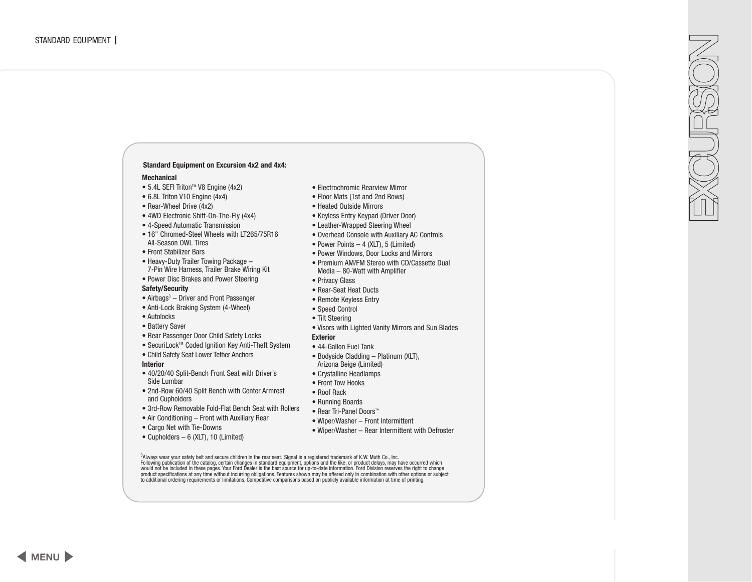#### <span id="page-8-0"></span> $^\circ$ Always wear your safety belt and secure children in the rear seat. Signal is a registered trademark of K.W. Muth Co., Inc. Following publication of the catalog, certain changes in standard equipment, options and the like, or product delays, may have occurred which would not be included in these pages. Your Ford Dealer is the best source for up product specifications at any time without incurring obligations. Features shown may be offered only in combination with other options or subject to additional ordering requirements or limitations. Competitive comparisons based on publicly available information at time of printing. **Standard Equipment on Excursion 4x2 and 4x4: Mechanical**  $\bullet$  5.4L SEFI Triton<sup> $M$ </sup> V8 Engine (4x2) • 6.8L Triton V10 Engine (4x4) • Rear-Wheel Drive (4x2) • 4WD Electronic Shift-On-The-Fly (4x4) • 4-Speed Automatic Transmission • 16" Chromed-Steel Wheels with LT265/75R16 All-Season OWL Tires • Front Stabilizer Bars • Heavy-Duty Trailer Towing Package – 7-Pin Wire Harness, Trailer Brake Wiring Kit • Power Disc Brakes and Power Steering **Safety/Security** • Airbags<sup>®</sup> – Driver and Front Passenger • Anti-Lock Braking System (4-Wheel) • Autolocks • Battery Saver • Rear Passenger Door Child Safety Locks ● SecuriLock™ Coded Ignition Key Anti-Theft System • Child Safety Seat Lower Tether Anchors **Interior** • 40/20/40 Split-Bench Front Seat with Driver's Side Lumbar • 2nd-Row 60/40 Split Bench with Center Armrest and Cupholders • 3rd-Row Removable Fold-Flat Bench Seat with Rollers • Air Conditioning – Front with Auxiliary Rear • Cargo Net with Tie-Downs • Cupholders  $-6$  (XLT), 10 (Limited) • Electrochromic Rearview Mirror • Floor Mats (1st and 2nd Rows) • Heated Outside Mirrors • Keyless Entry Keypad (Driver Door) • Leather-Wrapped Steering Wheel • Overhead Console with Auxiliary AC Controls • Power Points – 4 (XLT), 5 (Limited) • Power Windows, Door Locks and Mirrors • Premium AM/FM Stereo with CD/Cassette Dual Media – 80-Watt with Amplifier • Privacy Glass • Rear-Seat Heat Ducts • Remote Keyless Entry • Speed Control • Tilt Steering • Visors with Lighted Vanity Mirrors and Sun Blades **Exterior** • 44-Gallon Fuel Tank • Bodyside Cladding – Platinum (XLT), Arizona Beige (Limited) • Crystalline Headlamps • Front Tow Hooks • Roof Rack • Running Boards • Rear Tri-Panel Doors™ • Wiper/Washer – Front Intermittent • Wiper/Washer – Rear Intermittent with Defroster

**[MENU](#page-0-0)**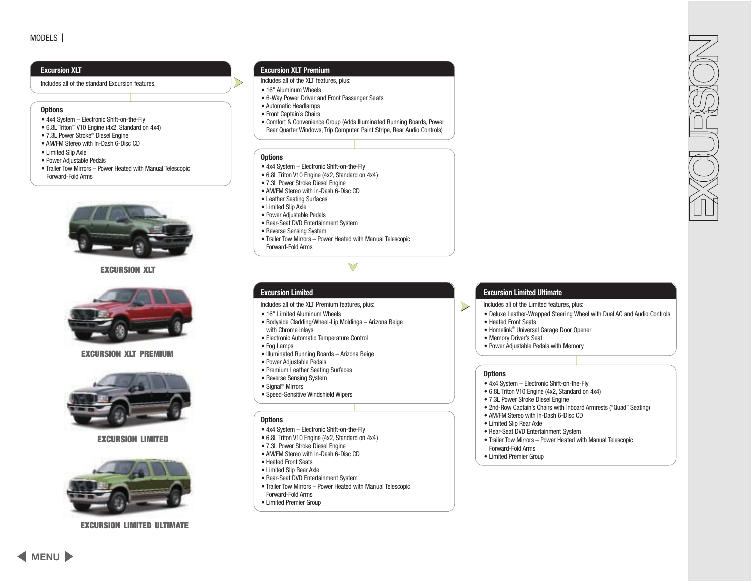#### <span id="page-9-0"></span>**Excursion XLT**

Includes all of the standard Excursion features.

#### **Options**

- 4x4 System Electronic Shift-on-the-Fly
- 6.8L Triton™ V10 Engine (4x2, Standard on 4x4)
- 7.3L Power Stroke® Diesel Engine
- AM/FM Stereo with In-Dash 6-Disc CD
- Limited Slip Axle
- Power Adjustable Pedals
- Trailer Tow Mirrors Power Heated with Manual Telescopic Forward-Fold Arms



**EXCURSION XLT**



**EXCURSION XLT PREMIUM**



#### **EXCURSION LIMITED**



**EXCURSION LIMITED ULTIMATE**

#### **Excursion XLT Premium**

- Includes all of the XLT features, plus:
- 16" Aluminum Wheels

➤

- 6-Way Power Driver and Front Passenger Seats
- Automatic Headlamps
- Front Captain's Chairs
- Comfort & Convenience Group (Adds Illuminated Running Boards, Power Rear Quarter Windows, Trip Computer, Paint Stripe, Rear Audio Controls)

➤

#### **Options**

- 4x4 System Electronic Shift-on-the-Fly
- 6.8L Triton V10 Engine (4x2, Standard on 4x4)
- 7.3L Power Stroke Diesel Engine
- AM/FM Stereo with In-Dash 6-Disc CD
- Leather Seating Surfaces
- Limited Slip Axle
- Power Adjustable Pedals
- Rear-Seat DVD Entertainment System
- Reverse Sensing System

**Excursion Limited**

with Chrome Inlays

• Power Adjustable Pedals • Premium Leather Seating Surfaces • Reverse Sensing System • Signal® Mirrors

• Fog Lamps

**Options**

• Heated Front Seats • Limited Slip Rear Axle

Forward-Fold Arms • Limited Premier Group

• Trailer Tow Mirrors – Power Heated with Manual Telescopic Forward-Fold Arms

Includes all of the XLT Premium features, plus:

• Electronic Automatic Temperature Control

• Illuminated Running Boards – Arizona Beige

• Speed-Sensitive Windshield Wipers

• 4x4 System – Electronic Shift-on-the-Fly • 6.8L Triton V10 Engine (4x2, Standard on 4x4) • 7.3L Power Stroke Diesel Engine • AM/FM Stereo with In-Dash 6-Disc CD

• Rear-Seat DVD Entertainment System

• Trailer Tow Mirrors – Power Heated with Manual Telescopic

• Bodyside Cladding/Wheel-Lip Moldings – Arizona Beige

• 16" Limited Aluminum Wheels

### **Excursion Limited Ultimate**

Includes all of the Limited features, plus:

- Deluxe Leather-Wrapped Steering Wheel with Dual AC and Audio Controls
- Heated Front Seats
- Homelink® Universal Garage Door Opener
- Memory Driver's Seat
- Power Adjustable Pedals with Memory

#### **Options**

➤

- 4x4 System Electronic Shift-on-the-Fly
- 6.8L Triton V10 Engine (4x2, Standard on 4x4)
- 7.3L Power Stroke Diesel Engine
- 2nd-Row Captain's Chairs with Inboard Armrests ("Quad" Seating)
- AM/FM Stereo with In-Dash 6-Disc CD
- Limited Slip Rear Axle
- Rear-Seat DVD Entertainment System
- Trailer Tow Mirrors Power Heated with Manual Telescopic Forward-Fold Arms
- Limited Premier Group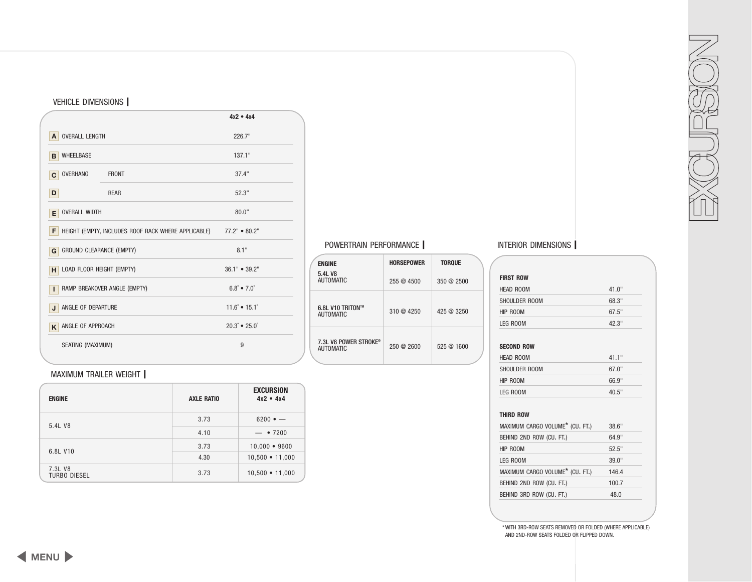| SEATING (MAXIMUM)              |                   | 9                               |  |
|--------------------------------|-------------------|---------------------------------|--|
| <b>MAXIMUM TRAILER WEIGHT</b>  |                   |                                 |  |
| <b>ENGINE</b>                  | <b>AXLE RATIO</b> | <b>EXCURSION</b><br>$4x2 - 4x4$ |  |
| 5.4L V8                        | 3.73              | $6200 \bullet -$                |  |
|                                | 4.10              | •7200                           |  |
|                                | 3.73              | $10,000 - 9600$                 |  |
| 6.8L V10                       | 4.30              | $10,500 \cdot 11,000$           |  |
| 7.3L V8<br><b>TURBO DIESEL</b> | 3.73              | $10,500 \cdot 11,000$           |  |

| SEATING (MAXIMUM) |  |
|-------------------|--|
|                   |  |
|                   |  |

<span id="page-10-0"></span>

| <b>VEHICLE DIMENSIONS</b>  |                                                     |                                         |
|----------------------------|-----------------------------------------------------|-----------------------------------------|
|                            |                                                     | $4x2 - 4x4$                             |
| <b>OVERALL LENGTH</b><br>A |                                                     | 226.7"                                  |
| <b>WHEELBASE</b><br>B      |                                                     | 137.1"                                  |
| <b>OVERHANG</b><br>C       | <b>FRONT</b>                                        | 37.4"                                   |
| D                          | <b>REAR</b>                                         | 52.3"                                   |
| <b>OVERALL WIDTH</b><br>Е  |                                                     | 80.0"                                   |
|                            | HEIGHT (EMPTY, INCLUDES ROOF RACK WHERE APPLICABLE) | $77.2" \cdot 80.2"$                     |
|                            | GROUND CLEARANCE (EMPTY)                            | 8.1"                                    |
|                            | LOAD FLOOR HEIGHT (EMPTY)                           | $36.1"$ $\bullet$ $39.2"$               |
|                            | RAMP BREAKOVER ANGLE (EMPTY)                        | $6.8^{\circ}$ $\bullet$ $7.0^{\circ}$   |
| ANGLE OF DEPARTURE         |                                                     | $11.6^{\circ}$ • $15.1^{\circ}$         |
| ANGLE OF APPROACH          |                                                     | $20.3^{\circ}$ $\bullet$ $25.0^{\circ}$ |
| SEATING (MAXIMUM)          |                                                     | 9                                       |

**ENGINE HORSEPOWER TORQUE** 5.4L V8 255 @ 4500 350 @ 2500 6.8L V10 TRITON™ 6.8L V10 IRIION = 310 @ 4250 425 @ 3250

 $250 \text{ } \textcircled{2}$  250  $\textcircled{2}$  2600 525  $\textcircled{2}$  1600

7.3L V8 POWER STROKE®

# POWERTRAIN PERFORMANCE **|** INTERIOR DIMENSIONS **|**

| <b>FIRST ROW</b>                            |       |
|---------------------------------------------|-------|
| <b>HEAD ROOM</b>                            | 41.0" |
| SHOULDER ROOM                               | 68.3" |
| HIP ROOM                                    | 67.5" |
| LEG ROOM                                    | 42.3" |
| <b>SECOND ROW</b>                           |       |
| <b>HEAD ROOM</b>                            | 41.1" |
| SHOULDER ROOM                               | 67.0" |
| HIP ROOM                                    | 66.9" |
| LEG ROOM                                    | 40.5" |
| <b>THIRD ROW</b>                            |       |
| MAXIMUM CARGO VOLUME <sup>*</sup> (CU. FT.) | 38.6" |
| BEHIND 2ND ROW (CU. FT.)                    | 64.9" |
| HIP ROOM                                    | 52.5" |
| LEG ROOM                                    | 39.0" |
| MAXIMUM CARGO VOLUME* (CU. FT.)             | 146.4 |
| BEHIND 2ND ROW (CU. FT.)                    | 100.7 |
| BEHIND 3RD ROW (CU. FT.)                    | 48.0  |
|                                             |       |

NOESION

#### \* WITH 3RD-ROW SEATS REMOVED OR FOLDED (WHERE APPLICABLE) AND 2ND-ROW SEATS FOLDED OR FLIPPED DOWN.